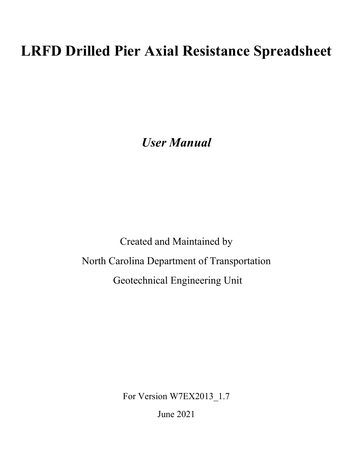# **LRFD Drilled Pier Axial Resistance Spreadsheet**

*User Manual*

Created and Maintained by North Carolina Department of Transportation Geotechnical Engineering Unit

For Version W7EX2013\_1.7

June 2021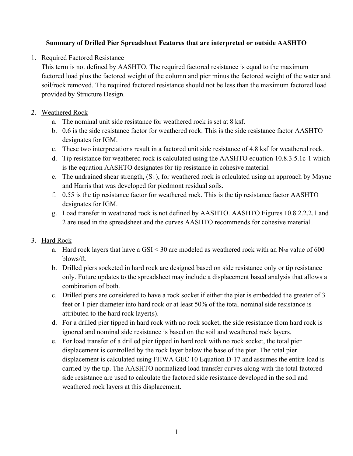#### **Summary of Drilled Pier Spreadsheet Features that are interpreted or outside AASHTO**

1. Required Factored Resistance

This term is not defined by AASHTO. The required factored resistance is equal to the maximum factored load plus the factored weight of the column and pier minus the factored weight of the water and soil/rock removed. The required factored resistance should not be less than the maximum factored load provided by Structure Design.

#### 2. Weathered Rock

- a. The nominal unit side resistance for weathered rock is set at 8 ksf.
- b. 0.6 is the side resistance factor for weathered rock. This is the side resistance factor AASHTO designates for IGM.
- c. These two interpretations result in a factored unit side resistance of 4.8 ksf for weathered rock.
- d. Tip resistance for weathered rock is calculated using the AASHTO equation 10.8.3.5.1c-1 which is the equation AASHTO designates for tip resistance in cohesive material.
- e. The undrained shear strength, (S<sub>U</sub>), for weathered rock is calculated using an approach by Mayne and Harris that was developed for piedmont residual soils.
- f. 0.55 is the tip resistance factor for weathered rock. This is the tip resistance factor AASHTO designates for IGM.
- g. Load transfer in weathered rock is not defined by AASHTO. AASHTO Figures 10.8.2.2.2.1 and 2 are used in the spreadsheet and the curves AASHTO recommends for cohesive material.

## 3. Hard Rock

- a. Hard rock layers that have a  $GSI < 30$  are modeled as weathered rock with an  $N_{60}$  value of 600 blows/ft.
- b. Drilled piers socketed in hard rock are designed based on side resistance only or tip resistance only. Future updates to the spreadsheet may include a displacement based analysis that allows a combination of both.
- c. Drilled piers are considered to have a rock socket if either the pier is embedded the greater of 3 feet or 1 pier diameter into hard rock or at least 50% of the total nominal side resistance is attributed to the hard rock layer(s).
- d. For a drilled pier tipped in hard rock with no rock socket, the side resistance from hard rock is ignored and nominal side resistance is based on the soil and weathered rock layers.
- e. For load transfer of a drilled pier tipped in hard rock with no rock socket, the total pier displacement is controlled by the rock layer below the base of the pier. The total pier displacement is calculated using FHWA GEC 10 Equation D-17 and assumes the entire load is carried by the tip. The AASHTO normalized load transfer curves along with the total factored side resistance are used to calculate the factored side resistance developed in the soil and weathered rock layers at this displacement.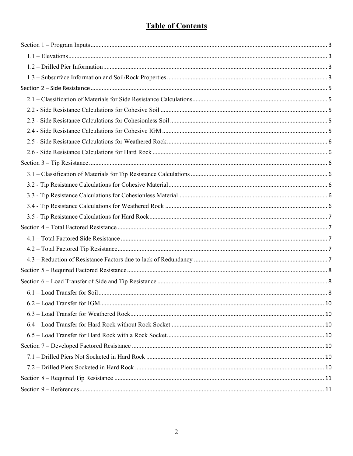## **Table of Contents**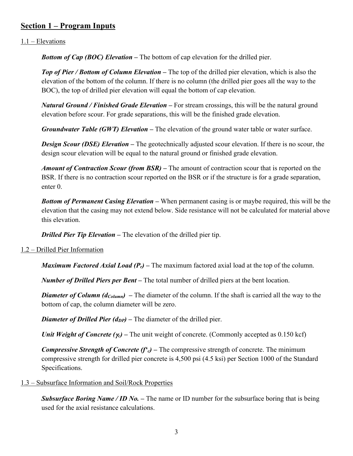## <span id="page-3-0"></span>**Section 1 – Program Inputs**

#### <span id="page-3-1"></span>1.1 – Elevations

*Bottom of Cap (BOC) Elevation* **–** The bottom of cap elevation for the drilled pier.

*Top of Pier / Bottom of Column Elevation –* The top of the drilled pier elevation, which is also the elevation of the bottom of the column. If there is no column (the drilled pier goes all the way to the BOC), the top of drilled pier elevation will equal the bottom of cap elevation.

*Natural Ground / Finished Grade Elevation –* For stream crossings, this will be the natural ground elevation before scour. For grade separations, this will be the finished grade elevation.

*Groundwater Table (GWT) Elevation –* The elevation of the ground water table or water surface.

*Design Scour (DSE) Elevation –* The geotechnically adjusted scour elevation. If there is no scour, the design scour elevation will be equal to the natural ground or finished grade elevation.

*Amount of Contraction Scour (from BSR) –* The amount of contraction scour that is reported on the BSR. If there is no contraction scour reported on the BSR or if the structure is for a grade separation, enter 0.

*Bottom of Permanent Casing Elevation –* When permanent casing is or maybe required, this will be the elevation that the casing may not extend below. Side resistance will not be calculated for material above this elevation.

*Drilled Pier Tip Elevation –* The elevation of the drilled pier tip.

#### <span id="page-3-2"></span>1.2 – Drilled Pier Information

*Maximum Factored Axial Load (Pr)* **–** The maximum factored axial load at the top of the column.

*Number of Drilled Piers per Bent –* The total number of drilled piers at the bent location.

*Diameter of Column (d<sub>Column</sub>)* – The diameter of the column. If the shaft is carried all the way to the bottom of cap, the column diameter will be zero.

*Diameter of Drilled Pier (d<sub>DP</sub>)* – The diameter of the drilled pier.

*Unit Weight of Concrete (γ<sub>c</sub>)* – The unit weight of concrete. (Commonly accepted as 0.150 kcf)

*Compressive Strength of Concrete (f'c)* – The compressive strength of concrete. The minimum compressive strength for drilled pier concrete is 4,500 psi (4.5 ksi) per Section 1000 of the Standard Specifications.

#### <span id="page-3-3"></span>1.3 – Subsurface Information and Soil/Rock Properties

*Subsurface Boring Name / ID No.* – The name or ID number for the subsurface boring that is being used for the axial resistance calculations.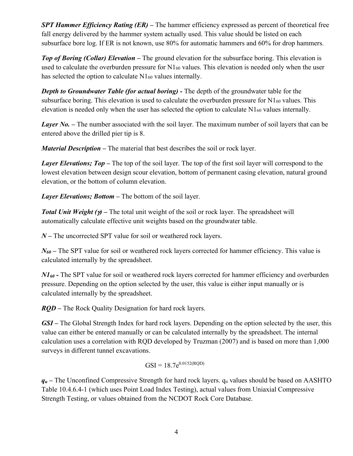*SPT Hammer Efficiency Rating (ER) –* The hammer efficiency expressed as percent of theoretical free fall energy delivered by the hammer system actually used. This value should be listed on each subsurface bore log. If ER is not known, use 80% for automatic hammers and 60% for drop hammers.

*Top of Boring (Collar) Elevation –* The ground elevation for the subsurface boring. This elevation is used to calculate the overburden pressure for N1<sub>60</sub> values. This elevation is needed only when the user has selected the option to calculate N1<sub>60</sub> values internally.

*Depth to Groundwater Table (for actual boring)* **- The depth of the groundwater table for the** subsurface boring. This elevation is used to calculate the overburden pressure for  $N1_{60}$  values. This elevation is needed only when the user has selected the option to calculate N160 values internally.

*Layer No.* – The number associated with the soil layer. The maximum number of soil layers that can be entered above the drilled pier tip is 8.

*Material Description –* The material that best describes the soil or rock layer.

*Layer Elevations; Top* – The top of the soil layer. The top of the first soil layer will correspond to the lowest elevation between design scour elevation, bottom of permanent casing elevation, natural ground elevation, or the bottom of column elevation.

*Layer Elevations; Bottom –* The bottom of the soil layer.

*Total Unit Weight (*γ*) –* The total unit weight of the soil or rock layer. The spreadsheet will automatically calculate effective unit weights based on the groundwater table.

*N –* The uncorrected SPT value for soil or weathered rock layers.

*N*<sub>60</sub> – The SPT value for soil or weathered rock layers corrected for hammer efficiency. This value is calculated internally by the spreadsheet.

*N1<sub>60</sub>* - The SPT value for soil or weathered rock layers corrected for hammer efficiency and overburden pressure. Depending on the option selected by the user, this value is either input manually or is calculated internally by the spreadsheet.

*RQD –* The Rock Quality Designation for hard rock layers.

*GSI –* The Global Strength Index for hard rock layers. Depending on the option selected by the user, this value can either be entered manually or can be calculated internally by the spreadsheet. The internal calculation uses a correlation with RQD developed by Truzman (2007) and is based on more than 1,000 surveys in different tunnel excavations.

$$
GSI = 18.7e^{0.0152(RQD)}
$$

 $q_u$  – The Unconfined Compressive Strength for hard rock layers.  $q_u$  values should be based on AASHTO Table 10.4.6.4-1 (which uses Point Load Index Testing), actual values from Uniaxial Compressive Strength Testing, or values obtained from the NCDOT Rock Core Database.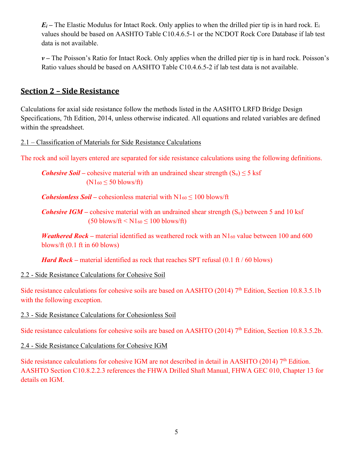$E_i$  – The Elastic Modulus for Intact Rock. Only applies to when the drilled pier tip is in hard rock. E<sub>i</sub> values should be based on AASHTO Table C10.4.6.5-1 or the NCDOT Rock Core Database if lab test data is not available.

*v –* The Poisson's Ratio for Intact Rock. Only applies when the drilled pier tip is in hard rock. Poisson's Ratio values should be based on AASHTO Table C10.4.6.5-2 if lab test data is not available.

## <span id="page-5-0"></span>**Section 2 – Side Resistance**

Calculations for axial side resistance follow the methods listed in the AASHTO LRFD Bridge Design Specifications, 7th Edition, 2014, unless otherwise indicated. All equations and related variables are defined within the spreadsheet.

<span id="page-5-1"></span>2.1 – Classification of Materials for Side Resistance Calculations

The rock and soil layers entered are separated for side resistance calculations using the following definitions.

*Cohesive Soil* – cohesive material with an undrained shear strength  $(S_u) \le 5$  ksf  $(N1<sub>60</sub> \le 50$  blows/ft)

*Cohesionless Soil* – cohesionless material with  $N1_{60} \le 100$  blows/ft

*Cohesive IGM* – cohesive material with an undrained shear strength  $(S_u)$  between 5 and 10 ksf  $(50 \text{ blows/ft} < N1_{60} < 100 \text{ blows/ft})$ 

*Weathered Rock* – material identified as weathered rock with an N<sub>160</sub> value between 100 and 600 blows/ft (0.1 ft in 60 blows)

*Hard Rock* – material identified as rock that reaches SPT refusal (0.1 ft / 60 blows)

#### <span id="page-5-2"></span>2.2 - Side Resistance Calculations for Cohesive Soil

Side resistance calculations for cohesive soils are based on AASHTO (2014) 7<sup>th</sup> Edition, Section 10.8.3.5.1b with the following exception.

<span id="page-5-3"></span>2.3 - Side Resistance Calculations for Cohesionless Soil

Side resistance calculations for cohesive soils are based on AASHTO (2014) 7<sup>th</sup> Edition, Section 10.8.3.5.2b.

<span id="page-5-4"></span>2.4 - Side Resistance Calculations for Cohesive IGM

<span id="page-5-5"></span>Side resistance calculations for cohesive IGM are not described in detail in AASHTO (2014) 7<sup>th</sup> Edition. AASHTO Section C10.8.2.2.3 references the FHWA Drilled Shaft Manual, FHWA GEC 010, Chapter 13 for details on IGM.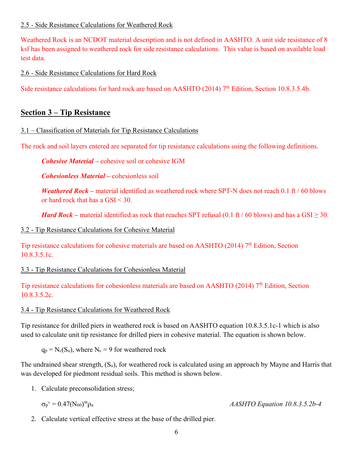#### 2.5 - Side Resistance Calculations for Weathered Rock

Weathered Rock is an NCDOT material description and is not defined in AASHTO. A unit side resistance of 8 ksf has been assigned to weathered rock for side resistance calculations. This value is based on available load test data.

<span id="page-6-0"></span>2.6 - Side Resistance Calculations for Hard Rock

Side resistance calculations for hard rock are based on AASHTO (2014) 7<sup>th</sup> Edition, Section 10.8.3.5.4b.

#### <span id="page-6-1"></span>**Section 3 – Tip Resistance**

<span id="page-6-2"></span>3.1 – Classification of Materials for Tip Resistance Calculations

The rock and soil layers entered are separated for tip resistance calculations using the following definitions.

*Cohesive Material –* cohesive soil or cohesive IGM

*Cohesionless Material –* cohesionless soil

*Weathered Rock* – material identified as weathered rock where SPT-N does not reach 0.1 ft / 60 blows or hard rock that has a GSI < 30.

*Hard Rock* – material identified as rock that reaches SPT refusal (0.1 ft / 60 blows) and has a GSI  $\geq$  30.

#### <span id="page-6-3"></span>3.2 - Tip Resistance Calculations for Cohesive Material

Tip resistance calculations for cohesive materials are based on AASHTO (2014) 7<sup>th</sup> Edition, Section 10.8.3.5.1c.

#### <span id="page-6-4"></span>3.3 - Tip Resistance Calculations for Cohesionless Material

Tip resistance calculations for cohesionless materials are based on AASHTO (2014)  $7<sup>th</sup>$  Edition, Section 10.8.3.5.2c.

#### <span id="page-6-5"></span>3.4 - Tip Resistance Calculations for Weathered Rock

Tip resistance for drilled piers in weathered rock is based on AASHTO equation 10.8.3.5.1c-1 which is also used to calculate unit tip resistance for drilled piers in cohesive material. The equation is shown below.

 $q_p = N_c(S_u)$ , where  $N_c = 9$  for weathered rock

The undrained shear strength, (Su), for weathered rock is calculated using an approach by Mayne and Harris that was developed for piedmont residual soils. This method is shown below.

1. Calculate preconsolidation stress;

$$
\sigma_p`=0.47(N_{60})^m\rho_a
$$

<sup>m</sup>ρ<sup>a</sup> *AASHTO Equation 10.8.3.5.2b-4*

2. Calculate vertical effective stress at the base of the drilled pier.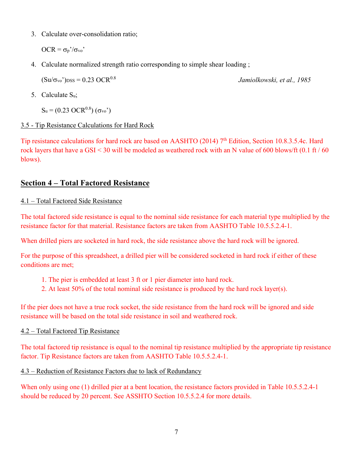3. Calculate over-consolidation ratio;

 $OCR = \sigma_p'/\sigma_{vo}$ 

4. Calculate normalized strength ratio corresponding to simple shear loading ;

 $(Su/\sigma_{vo})_{DSS} = 0.23 \text{ OCR}^{0.8}$  *Jamiolkowski, et al., 1985* 

5. Calculate Su;

 $S_u$  = (0.23 OCR<sup>0.8</sup>) (σ<sub>vo</sub>')

#### <span id="page-7-0"></span>3.5 - Tip Resistance Calculations for Hard Rock

Tip resistance calculations for hard rock are based on AASHTO (2014) 7<sup>th</sup> Edition, Section 10.8.3.5.4c. Hard rock layers that have a GSI < 30 will be modeled as weathered rock with an N value of 600 blows/ft (0.1 ft / 60 blows).

## <span id="page-7-1"></span>**Section 4 – Total Factored Resistance**

#### <span id="page-7-2"></span>4.1 – Total Factored Side Resistance

The total factored side resistance is equal to the nominal side resistance for each material type multiplied by the resistance factor for that material. Resistance factors are taken from AASHTO Table 10.5.5.2.4-1.

When drilled piers are socketed in hard rock, the side resistance above the hard rock will be ignored.

For the purpose of this spreadsheet, a drilled pier will be considered socketed in hard rock if either of these conditions are met;

- 1. The pier is embedded at least 3 ft or 1 pier diameter into hard rock.
- 2. At least 50% of the total nominal side resistance is produced by the hard rock layer(s).

If the pier does not have a true rock socket, the side resistance from the hard rock will be ignored and side resistance will be based on the total side resistance in soil and weathered rock.

#### <span id="page-7-3"></span>4.2 – Total Factored Tip Resistance

The total factored tip resistance is equal to the nominal tip resistance multiplied by the appropriate tip resistance factor. Tip Resistance factors are taken from AASHTO Table 10.5.5.2.4-1.

#### <span id="page-7-4"></span>4.3 – Reduction of Resistance Factors due to lack of Redundancy

When only using one (1) drilled pier at a bent location, the resistance factors provided in Table 10.5.5.2.4-1 should be reduced by 20 percent. See ASSHTO Section 10.5.5.2.4 for more details.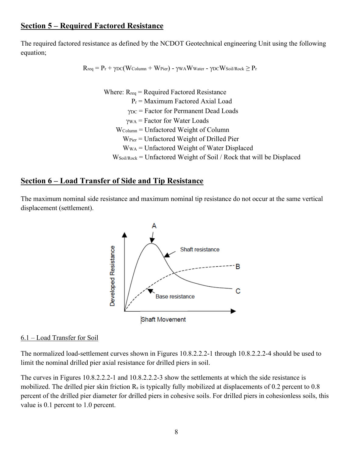### <span id="page-8-0"></span>**Section 5 – Required Factored Resistance**

The required factored resistance as defined by the NCDOT Geotechnical engineering Unit using the following equation;

$$
R_{req} = P_r + \gamma_{DC}(W_{Column} + W_{Pier}) - \gamma_{WA}W_{Water} - \gamma_{DC}W_{Soil/Rock} \geq P_r
$$

Where:  $R_{req}$  = Required Factored Resistance  $P_r$  = Maximum Factored Axial Load γDC = Factor for Permanent Dead Loads γWA = Factor for Water Loads WColumn = Unfactored Weight of Column WPier = Unfactored Weight of Drilled Pier WWA = Unfactored Weight of Water Displaced  $W_{Soil/Rock}$  = Unfactored Weight of Soil / Rock that will be Displaced

#### <span id="page-8-1"></span>**Section 6 – Load Transfer of Side and Tip Resistance**

The maximum nominal side resistance and maximum nominal tip resistance do not occur at the same vertical displacement (settlement).



#### <span id="page-8-2"></span>6.1 – Load Transfer for Soil

The normalized load-settlement curves shown in Figures 10.8.2.2.2-1 through 10.8.2.2.2-4 should be used to limit the nominal drilled pier axial resistance for drilled piers in soil.

The curves in Figures 10.8.2.2.2-1 and 10.8.2.2.2-3 show the settlements at which the side resistance is mobilized. The drilled pier skin friction R<sub>s</sub> is typically fully mobilized at displacements of 0.2 percent to 0.8 percent of the drilled pier diameter for drilled piers in cohesive soils. For drilled piers in cohesionless soils, this value is 0.1 percent to 1.0 percent.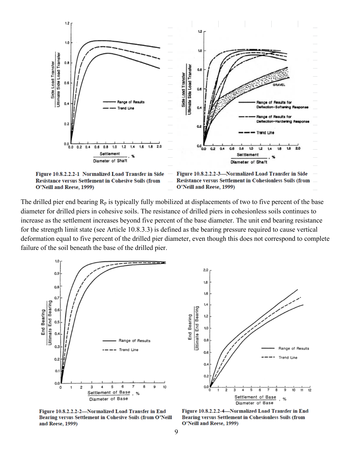

The drilled pier end bearing  $R_p$  is typically fully mobilized at displacements of two to five percent of the base diameter for drilled piers in cohesive soils. The resistance of drilled piers in cohesionless soils continues to increase as the settlement increases beyond five percent of the base diameter. The unit end bearing resistance for the strength limit state (see Article 10.8.3.3) is defined as the bearing pressure required to cause vertical deformation equal to five percent of the drilled pier diameter, even though this does not correspond to complete failure of the soil beneath the base of the drilled pier.

2.0



 $1.8$ 1.6  $1.4$ **Jitimate End Bearing** End Bearing  $1.2$ 1.0  $0.8$ Range of Results  $0.6$ Trend Line 0.  $0.2$  $0.0$  $\overline{\mathbf{2}}$ 3  $11$  $12$ 0 1 4 5 6 10 Settlement of Base Diameter of Base

Figure 10.8.2.2.2-2-Normalized Load Transfer in End Bearing versus Settlement in Cohesive Soils (from O'Neill and Reese, 1999)

Figure 10.8.2.2.2-4-Normalized Load Transfer in End Bearing versus Settlement in Cohesionless Soils (from O'Neill and Reese, 1999)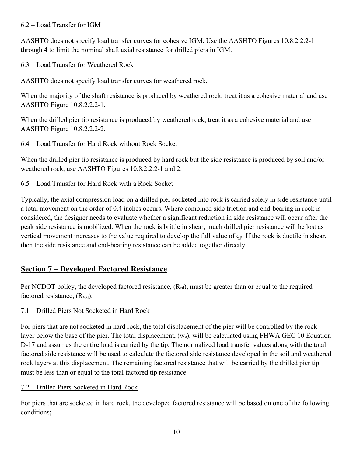#### <span id="page-10-0"></span>6.2 – Load Transfer for IGM

AASHTO does not specify load transfer curves for cohesive IGM. Use the AASHTO Figures 10.8.2.2.2-1 through 4 to limit the nominal shaft axial resistance for drilled piers in IGM.

#### <span id="page-10-1"></span>6.3 – Load Transfer for Weathered Rock

AASHTO does not specify load transfer curves for weathered rock.

When the majority of the shaft resistance is produced by weathered rock, treat it as a cohesive material and use AASHTO Figure 10.8.2.2.2-1.

When the drilled pier tip resistance is produced by weathered rock, treat it as a cohesive material and use AASHTO Figure 10.8.2.2.2-2.

#### <span id="page-10-2"></span>6.4 – Load Transfer for Hard Rock without Rock Socket

When the drilled pier tip resistance is produced by hard rock but the side resistance is produced by soil and/or weathered rock, use AASHTO Figures 10.8.2.2.2-1 and 2.

#### <span id="page-10-3"></span>6.5 – Load Transfer for Hard Rock with a Rock Socket

Typically, the axial compression load on a drilled pier socketed into rock is carried solely in side resistance until a total movement on the order of 0.4 inches occurs. Where combined side friction and end-bearing in rock is considered, the designer needs to evaluate whether a significant reduction in side resistance will occur after the peak side resistance is mobilized. When the rock is brittle in shear, much drilled pier resistance will be lost as vertical movement increases to the value required to develop the full value of qp. If the rock is ductile in shear, then the side resistance and end-bearing resistance can be added together directly.

## <span id="page-10-4"></span>**Section 7 – Developed Factored Resistance**

Per NCDOT policy, the developed factored resistance,  $(R_{rd})$ , must be greater than or equal to the required factored resistance,  $(R_{\text{req}})$ .

#### <span id="page-10-5"></span>7.1 – Drilled Piers Not Socketed in Hard Rock

For piers that are not socketed in hard rock, the total displacement of the pier will be controlled by the rock layer below the base of the pier. The total displacement,  $(w_c)$ , will be calculated using FHWA GEC 10 Equation D-17 and assumes the entire load is carried by the tip. The normalized load transfer values along with the total factored side resistance will be used to calculate the factored side resistance developed in the soil and weathered rock layers at this displacement. The remaining factored resistance that will be carried by the drilled pier tip must be less than or equal to the total factored tip resistance.

#### <span id="page-10-6"></span>7.2 – Drilled Piers Socketed in Hard Rock

For piers that are socketed in hard rock, the developed factored resistance will be based on one of the following conditions;